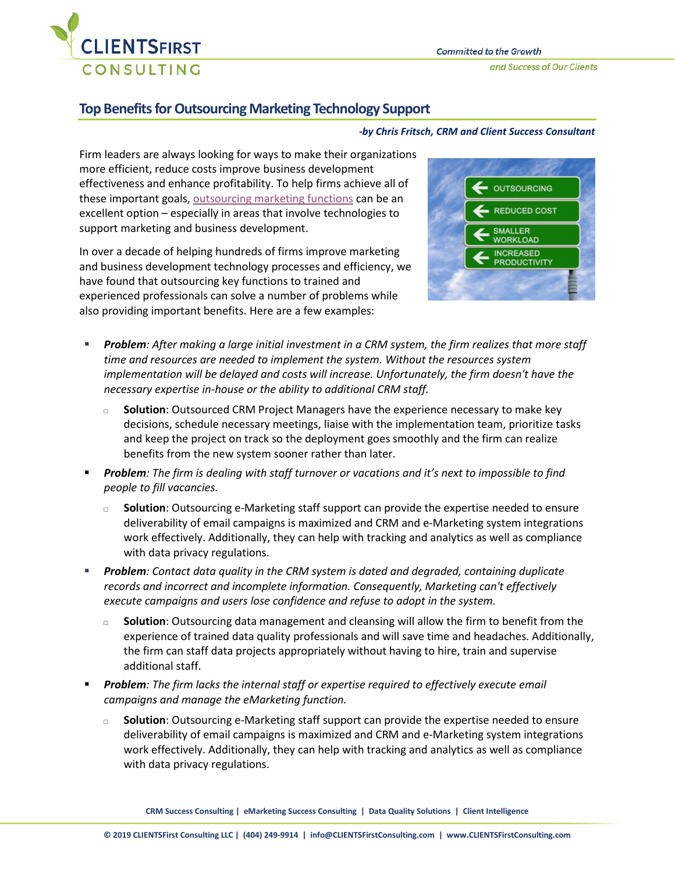

# **Top Benefits for Outsourcing Marketing Technology Support**

#### *-by Chris Fritsch, CRM and Client Success Consultant*

Firm leaders are always looking for ways to make their organizations more efficient, reduce costs improve business development effectiveness and enhance profitability. To help firms achieve all of these important goals, [outsourcing marketing](https://www.jdsupra.com/legalnews/driving-value-is-outsourcing-legal-39514/) functions can be an excellent option – especially in areas that involve technologies to support marketing and business development.

In over a decade of helping hundreds of firms improve marketing and business development technology processes and efficiency, we have found that outsourcing key functions to trained and experienced professionals can solve a number of problems while also providing important benefits. Here are a few examples:



- *Problem: After making a large initial investment in a CRM system, the firm realizes that more staff time and resources are needed to implement the system. Without the resources system implementation will be delayed and costs will increase. Unfortunately, the firm doesn't have the necessary expertise in-house or the ability to additional CRM staff.* 
	- □ **Solution**: Outsourced CRM Project Managers have the experience necessary to make key decisions, schedule necessary meetings, liaise with the implementation team, prioritize tasks and keep the project on track so the deployment goes smoothly and the firm can realize benefits from the new system sooner rather than later.
- *Problem: The firm is dealing with staff turnover or vacations and it's next to impossible to find people to fill vacancies.*
	- Solution: Outsourcing e-Marketing staff support can provide the expertise needed to ensure deliverability of email campaigns is maximized and CRM and e-Marketing system integrations work effectively. Additionally, they can help with tracking and analytics as well as compliance with data privacy regulations.
- *Problem: Contact data quality in the CRM system is dated and degraded, containing duplicate records and incorrect and incomplete information. Consequently, Marketing can't effectively execute campaigns and users lose confidence and refuse to adopt in the system.* 
	- **Solution**: Outsourcing data management and cleansing will allow the firm to benefit from the experience of trained data quality professionals and will save time and headaches. Additionally, the firm can staff data projects appropriately without having to hire, train and supervise additional staff.
- *Problem: The firm lacks the internal staff or expertise required to effectively execute email campaigns and manage the eMarketing function.* 
	- □ **Solution**: Outsourcing e-Marketing staff support can provide the expertise needed to ensure deliverability of email campaigns is maximized and CRM and e-Marketing system integrations work effectively. Additionally, they can help with tracking and analytics as well as compliance with data privacy regulations.

**CRM Success Consulting | eMarketing Success Consulting | Data Quality Solutions | Client Intelligence**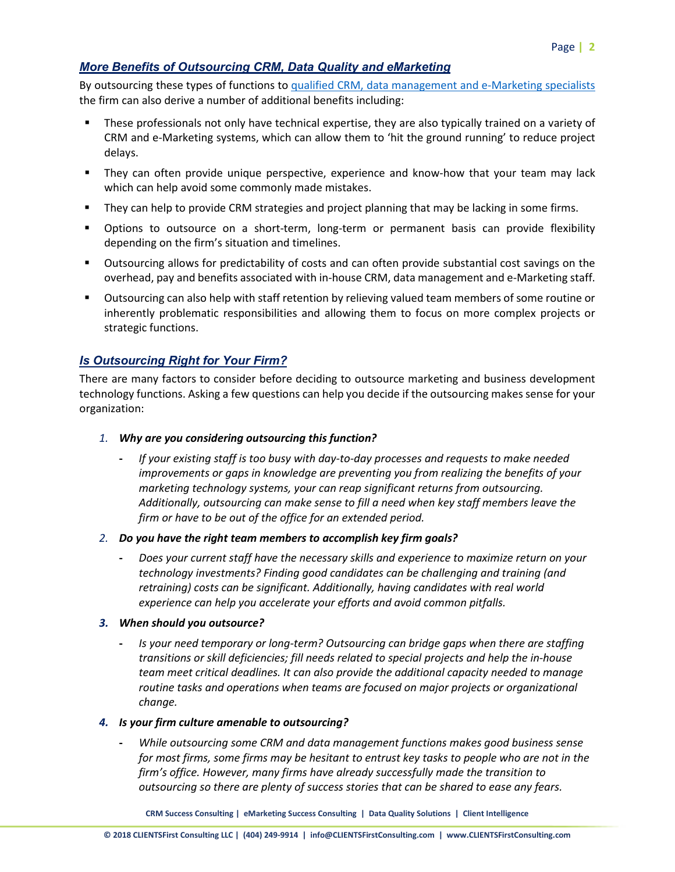# *More Benefits of Outsourcing CRM, Data Quality and eMarketing*

By outsourcing these types of functions to [qualified CRM, data management and e-Marketing specialists](https://clientsfirstconsulting.com/services/) the firm can also derive a number of additional benefits including:

- These professionals not only have technical expertise, they are also typically trained on a variety of CRM and e-Marketing systems, which can allow them to 'hit the ground running' to reduce project delays.
- They can often provide unique perspective, experience and know-how that your team may lack which can help avoid some commonly made mistakes.
- **They can help to provide CRM strategies and project planning that may be lacking in some firms.**
- Options to outsource on a short-term, long-term or permanent basis can provide flexibility depending on the firm's situation and timelines.
- Outsourcing allows for predictability of costs and can often provide substantial cost savings on the overhead, pay and benefits associated with in-house CRM, data management and e-Marketing staff.
- Outsourcing can also help with staff retention by relieving valued team members of some routine or inherently problematic responsibilities and allowing them to focus on more complex projects or strategic functions.

## *Is Outsourcing Right for Your Firm?*

There are many factors to consider before deciding to outsource marketing and business development technology functions. Asking a few questions can help you decide if the outsourcing makes sense for your organization:

- *1. Why are you considering outsourcing this function?* 
	- **-** *If your existing staff is too busy with day-to-day processes and requests to make needed improvements or gaps in knowledge are preventing you from realizing the benefits of your marketing technology systems, your can reap significant returns from outsourcing. Additionally, outsourcing can make sense to fill a need when key staff members leave the firm or have to be out of the office for an extended period.*
- *2. Do you have the right team members to accomplish key firm goals?*
	- **-** *Does your current staff have the necessary skills and experience to maximize return on your technology investments? Finding good candidates can be challenging and training (and retraining) costs can be significant. Additionally, having candidates with real world experience can help you accelerate your efforts and avoid common pitfalls.*
- *3. When should you outsource?*
	- **-** *Is your need temporary or long-term? Outsourcing can bridge gaps when there are staffing transitions or skill deficiencies; fill needs related to special projects and help the in-house team meet critical deadlines. It can also provide the additional capacity needed to manage routine tasks and operations when teams are focused on major projects or organizational change.*
- *4. Is your firm culture amenable to outsourcing?*
	- **-** *While outsourcing some CRM and data management functions makes good business sense for most firms, some firms may be hesitant to entrust key tasks to people who are not in the firm's office. However, many firms have already successfully made the transition to outsourcing so there are plenty of success stories that can be shared to ease any fears.*

**CRM Success Consulting | eMarketing Success Consulting | Data Quality Solutions | Client Intelligence**